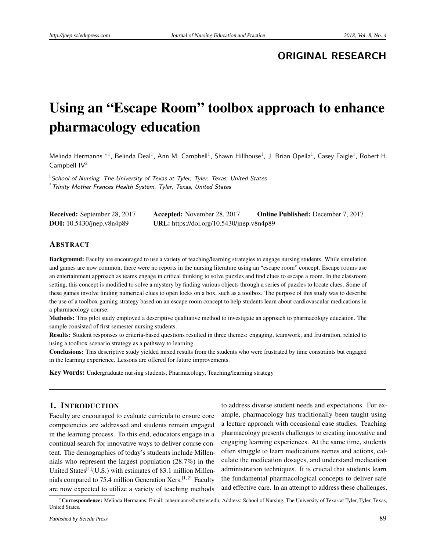## **ORIGINAL RESEARCH**

# Using an "Escape Room" toolbox approach to enhance pharmacology education

Melinda Hermanns \*<sup>1</sup>, Belinda Deal<sup>1</sup>, Ann M. Campbell<sup>1</sup>, Shawn Hillhouse<sup>1</sup>, J. Brian Opella<sup>1</sup>, Casey Faigle<sup>1</sup>, Robert H. Campbell  $IV<sup>2</sup>$ 

 $1$  School of Nursing, The University of Texas at Tyler, Tyler, Texas, United States  $2$  Trinity Mother Frances Health System, Tyler, Texas, United States

Received: September 28, 2017 Accepted: November 28, 2017 Online Published: December 7, 2017 DOI: 10.5430/jnep.v8n4p89 URL: https://doi.org/10.5430/jnep.v8n4p89

## ABSTRACT

Background: Faculty are encouraged to use a variety of teaching/learning strategies to engage nursing students. While simulation and games are now common, there were no reports in the nursing literature using an "escape room" concept. Escape rooms use an entertainment approach as teams engage in critical thinking to solve puzzles and find clues to escape a room. In the classroom setting, this concept is modified to solve a mystery by finding various objects through a series of puzzles to locate clues. Some of these games involve finding numerical clues to open locks on a box, such as a toolbox. The purpose of this study was to describe the use of a toolbox gaming strategy based on an escape room concept to help students learn about cardiovascular medications in a pharmacology course.

Methods: This pilot study employed a descriptive qualitative method to investigate an approach to pharmacology education. The sample consisted of first semester nursing students.

Results: Student responses to criteria-based questions resulted in three themes: engaging, teamwork, and frustration, related to using a toolbox scenario strategy as a pathway to learning.

Conclusions: This descriptive study yielded mixed results from the students who were frustrated by time constraints but engaged in the learning experience. Lessons are offered for future improvements.

Key Words: Undergraduate nursing students, Pharmacology, Teaching/learning strategy

## 1. INTRODUCTION

Faculty are encouraged to evaluate curricula to ensure core competencies are addressed and students remain engaged in the learning process. To this end, educators engage in a continual search for innovative ways to deliver course content. The demographics of today's students include Millennials who represent the largest population (28.7%) in the United States<sup>[\[1\]](#page-5-0)</sup>(U.S.) with estimates of 83.1 million Millen-nials compared to 75.4 million Generation Xers.<sup>[\[1,](#page-5-0)[2\]](#page-5-1)</sup> Faculty are now expected to utilize a variety of teaching methods

to address diverse student needs and expectations. For example, pharmacology has traditionally been taught using a lecture approach with occasional case studies. Teaching pharmacology presents challenges to creating innovative and engaging learning experiences. At the same time, students often struggle to learn medications names and actions, calculate the medication dosages, and understand medication administration techniques. It is crucial that students learn the fundamental pharmacological concepts to deliver safe and effective care. In an attempt to address these challenges,

<sup>∗</sup>Correspondence: Melinda Hermanns; Email: mhermanns@uttyler.edu; Address: School of Nursing, The University of Texas at Tyler, Tyler, Texas, United States.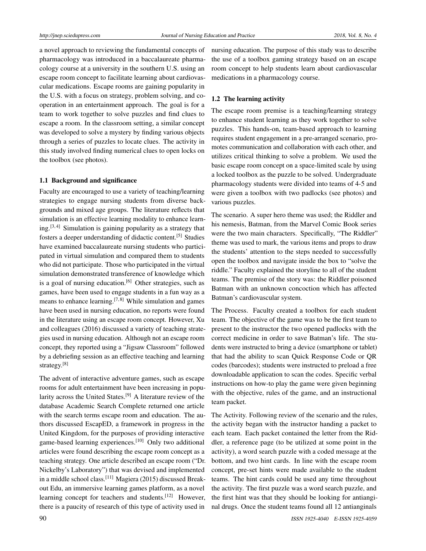a novel approach to reviewing the fundamental concepts of pharmacology was introduced in a baccalaureate pharmacology course at a university in the southern U.S. using an escape room concept to facilitate learning about cardiovascular medications. Escape rooms are gaining popularity in the U.S. with a focus on strategy, problem solving, and cooperation in an entertainment approach. The goal is for a team to work together to solve puzzles and find clues to escape a room. In the classroom setting, a similar concept was developed to solve a mystery by finding various objects through a series of puzzles to locate clues. The activity in this study involved finding numerical clues to open locks on the toolbox (see photos).

### 1.1 Background and significance

Faculty are encouraged to use a variety of teaching/learning strategies to engage nursing students from diverse backgrounds and mixed age groups. The literature reflects that simulation is an effective learning modality to enhance learning.[\[3,](#page-5-2) [4\]](#page-5-3) Simulation is gaining popularity as a strategy that fosters a deeper understanding of didactic content.[\[5\]](#page-5-4) Studies have examined baccalaureate nursing students who participated in virtual simulation and compared them to students who did not participate. Those who participated in the virtual simulation demonstrated transference of knowledge which is a goal of nursing education.<sup>[\[6\]](#page-6-0)</sup> Other strategies, such as games, have been used to engage students in a fun way as a means to enhance learning.<sup>[\[7,](#page-6-1)[8\]](#page-6-2)</sup> While simulation and games have been used in nursing education, no reports were found in the literature using an escape room concept. However, Xu and colleagues (2016) discussed a variety of teaching strategies used in nursing education. Although not an escape room concept, they reported using a "Jigsaw Classroom" followed by a debriefing session as an effective teaching and learning strategy.<sup>[\[8\]](#page-6-2)</sup>

The advent of interactive adventure games, such as escape rooms for adult entertainment have been increasing in popularity across the United States.[\[9\]](#page-6-3) A literature review of the database Academic Search Complete returned one article with the search terms escape room and education. The authors discussed EscapED, a framework in progress in the United Kingdom, for the purposes of providing interactive game-based learning experiences.[\[10\]](#page-6-4) Only two additional articles were found describing the escape room concept as a teaching strategy. One article described an escape room ("Dr. Nickelby's Laboratory") that was devised and implemented in a middle school class.<sup>[\[11\]](#page-6-5)</sup> Magiera (2015) discussed Breakout Edu, an immersive learning games platform, as a novel learning concept for teachers and students.<sup>[\[12\]](#page-6-6)</sup> However, there is a paucity of research of this type of activity used in nursing education. The purpose of this study was to describe the use of a toolbox gaming strategy based on an escape room concept to help students learn about cardiovascular medications in a pharmacology course.

## 1.2 The learning activity

The escape room premise is a teaching/learning strategy to enhance student learning as they work together to solve puzzles. This hands-on, team-based approach to learning requires student engagement in a pre-arranged scenario, promotes communication and collaboration with each other, and utilizes critical thinking to solve a problem. We used the basic escape room concept on a space-limited scale by using a locked toolbox as the puzzle to be solved. Undergraduate pharmacology students were divided into teams of 4-5 and were given a toolbox with two padlocks (see photos) and various puzzles.

The scenario. A super hero theme was used; the Riddler and his nemesis, Batman, from the Marvel Comic Book series were the two main characters. Specifically, "The Riddler" theme was used to mark, the various items and props to draw the students' attention to the steps needed to successfully open the toolbox and navigate inside the box to "solve the riddle." Faculty explained the storyline to all of the student teams. The premise of the story was: the Riddler poisoned Batman with an unknown concoction which has affected Batman's cardiovascular system.

The Process. Faculty created a toolbox for each student team. The objective of the game was to be the first team to present to the instructor the two opened padlocks with the correct medicine in order to save Batman's life. The students were instructed to bring a device (smartphone or tablet) that had the ability to scan Quick Response Code or QR codes (barcodes); students were instructed to preload a free downloadable application to scan the codes. Specific verbal instructions on how-to play the game were given beginning with the objective, rules of the game, and an instructional team packet.

The Activity. Following review of the scenario and the rules, the activity began with the instructor handing a packet to each team. Each packet contained the letter from the Riddler, a reference page (to be utilized at some point in the activity), a word search puzzle with a coded message at the bottom, and two hint cards. In line with the escape room concept, pre-set hints were made available to the student teams. The hint cards could be used any time throughout the activity. The first puzzle was a word search puzzle, and the first hint was that they should be looking for antianginal drugs. Once the student teams found all 12 antianginals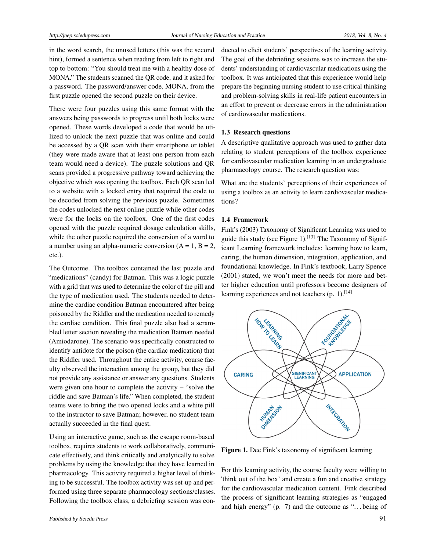in the word search, the unused letters (this was the second hint), formed a sentence when reading from left to right and top to bottom: "You should treat me with a healthy dose of MONA." The students scanned the QR code, and it asked for a password. The password/answer code, MONA, from the first puzzle opened the second puzzle on their device.

There were four puzzles using this same format with the answers being passwords to progress until both locks were opened. These words developed a code that would be utilized to unlock the next puzzle that was online and could be accessed by a QR scan with their smartphone or tablet (they were made aware that at least one person from each team would need a device). The puzzle solutions and QR scans provided a progressive pathway toward achieving the objective which was opening the toolbox. Each QR scan led to a website with a locked entry that required the code to be decoded from solving the previous puzzle. Sometimes the codes unlocked the next online puzzle while other codes were for the locks on the toolbox. One of the first codes opened with the puzzle required dosage calculation skills, while the other puzzle required the conversion of a word to a number using an alpha-numeric conversion  $(A = 1, B = 2, A)$ etc.).

The Outcome. The toolbox contained the last puzzle and "medications" (candy) for Batman. This was a logic puzzle with a grid that was used to determine the color of the pill and the type of medication used. The students needed to determine the cardiac condition Batman encountered after being poisoned by the Riddler and the medication needed to remedy the cardiac condition. This final puzzle also had a scrambled letter section revealing the medication Batman needed (Amiodarone). The scenario was specifically constructed to identify antidote for the poison (the cardiac medication) that the Riddler used. Throughout the entire activity, course faculty observed the interaction among the group, but they did not provide any assistance or answer any questions. Students were given one hour to complete the activity – "solve the riddle and save Batman's life." When completed, the student teams were to bring the two opened locks and a white pill to the instructor to save Batman; however, no student team actually succeeded in the final quest.

Using an interactive game, such as the escape room-based toolbox, requires students to work collaboratively, communicate effectively, and think critically and analytically to solve problems by using the knowledge that they have learned in pharmacology. This activity required a higher level of thinking to be successful. The toolbox activity was set-up and performed using three separate pharmacology sections/classes. Following the toolbox class, a debriefing session was conducted to elicit students' perspectives of the learning activity. The goal of the debriefing sessions was to increase the students' understanding of cardiovascular medications using the toolbox. It was anticipated that this experience would help prepare the beginning nursing student to use critical thinking and problem-solving skills in real-life patient encounters in an effort to prevent or decrease errors in the administration of cardiovascular medications.

## 1.3 Research questions

A descriptive qualitative approach was used to gather data relating to student perceptions of the toolbox experience for cardiovascular medication learning in an undergraduate pharmacology course. The research question was:

What are the students' perceptions of their experiences of using a toolbox as an activity to learn cardiovascular medications?

#### 1.4 Framework

Fink's (2003) Taxonomy of Significant Learning was used to guide this study (see Figure 1).<sup>[\[13\]](#page-6-7)</sup> The Taxonomy of Significant Learning framework includes: learning how to learn, caring, the human dimension, integration, application, and foundational knowledge. In Fink's textbook, Larry Spence (2001) stated, we won't meet the needs for more and better higher education until professors become designers of learning experiences and not teachers  $(p. 1)$ .<sup>[\[14\]](#page-6-8)</sup>



Figure 1. Dee Fink's taxonomy of significant learning

For this learning activity, the course faculty were willing to 'think out of the box' and create a fun and creative strategy for the cardiovascular medication content. Fink described the process of significant learning strategies as "engaged and high energy" (p. 7) and the outcome as "... being of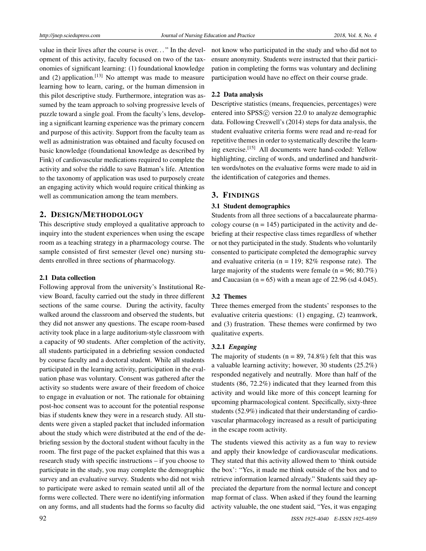value in their lives after the course is over. . . " In the development of this activity, faculty focused on two of the taxonomies of significant learning: (1) foundational knowledge and  $(2)$  application.<sup>[\[13\]](#page-6-7)</sup> No attempt was made to measure learning how to learn, caring, or the human dimension in this pilot descriptive study. Furthermore, integration was assumed by the team approach to solving progressive levels of puzzle toward a single goal. From the faculty's lens, developing a significant learning experience was the primary concern and purpose of this activity. Support from the faculty team as well as administration was obtained and faculty focused on basic knowledge (foundational knowledge as described by Fink) of cardiovascular medications required to complete the activity and solve the riddle to save Batman's life. Attention to the taxonomy of application was used to purposely create an engaging activity which would require critical thinking as well as communication among the team members.

## 2. DESIGN/METHODOLOGY

This descriptive study employed a qualitative approach to inquiry into the student experiences when using the escape room as a teaching strategy in a pharmacology course. The sample consisted of first semester (level one) nursing students enrolled in three sections of pharmacology.

## 2.1 Data collection

Following approval from the university's Institutional Review Board, faculty carried out the study in three different sections of the same course. During the activity, faculty walked around the classroom and observed the students, but they did not answer any questions. The escape room-based activity took place in a large auditorium-style classroom with a capacity of 90 students. After completion of the activity, all students participated in a debriefing session conducted by course faculty and a doctoral student. While all students participated in the learning activity, participation in the evaluation phase was voluntary. Consent was gathered after the activity so students were aware of their freedom of choice to engage in evaluation or not. The rationale for obtaining post-hoc consent was to account for the potential response bias if students knew they were in a research study. All students were given a stapled packet that included information about the study which were distributed at the end of the debriefing session by the doctoral student without faculty in the room. The first page of the packet explained that this was a research study with specific instructions – if you choose to participate in the study, you may complete the demographic survey and an evaluative survey. Students who did not wish to participate were asked to remain seated until all of the forms were collected. There were no identifying information on any forms, and all students had the forms so faculty did

### 2.2 Data analysis

Descriptive statistics (means, frequencies, percentages) were entered into  $SPSS(\hat{c})$  version 22.0 to analyze demographic data. Following Creswell's (2014) steps for data analysis, the student evaluative criteria forms were read and re-read for repetitive themes in order to systematically describe the learning exercise.[\[15\]](#page-6-9) All documents were hand-coded: Yellow highlighting, circling of words, and underlined and handwritten words/notes on the evaluative forms were made to aid in the identification of categories and themes.

## 3. FINDINGS

## 3.1 Student demographics

Students from all three sections of a baccalaureate pharmacology course  $(n = 145)$  participated in the activity and debriefing at their respective class times regardless of whether or not they participated in the study. Students who voluntarily consented to participate completed the demographic survey and evaluative criteria ( $n = 119$ ; 82% response rate). The large majority of the students were female ( $n = 96$ ; 80.7%) and Caucasian ( $n = 65$ ) with a mean age of 22.96 (sd 4.045).

## 3.2 Themes

Three themes emerged from the students' responses to the evaluative criteria questions: (1) engaging, (2) teamwork, and (3) frustration. These themes were confirmed by two qualitative experts.

## 3.2.1 *Engaging*

The majority of students ( $n = 89, 74.8\%$ ) felt that this was a valuable learning activity; however, 30 students (25.2%) responded negatively and neutrally. More than half of the students (86, 72.2%) indicated that they learned from this activity and would like more of this concept learning for upcoming pharmacological content. Specifically, sixty-three students (52.9%) indicated that their understanding of cardiovascular pharmacology increased as a result of participating in the escape room activity.

The students viewed this activity as a fun way to review and apply their knowledge of cardiovascular medications. They stated that this activity allowed them to 'think outside the box': "Yes, it made me think outside of the box and to retrieve information learned already." Students said they appreciated the departure from the normal lecture and concept map format of class. When asked if they found the learning activity valuable, the one student said, "Yes, it was engaging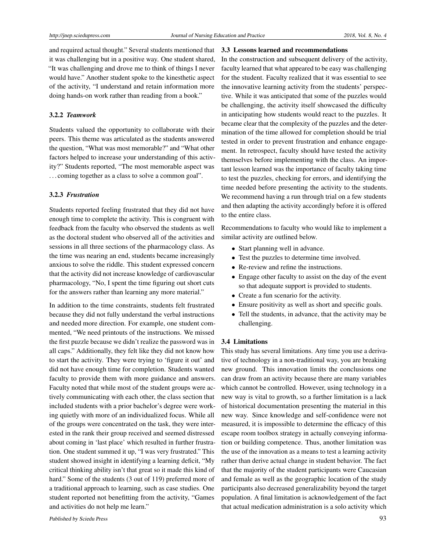and required actual thought." Several students mentioned that it was challenging but in a positive way. One student shared, "It was challenging and drove me to think of things I never would have." Another student spoke to the kinesthetic aspect of the activity, "I understand and retain information more doing hands-on work rather than reading from a book."

## 3.2.2 *Teamwork*

Students valued the opportunity to collaborate with their peers. This theme was articulated as the students answered the question, "What was most memorable?" and "What other factors helped to increase your understanding of this activity?" Students reported, "The most memorable aspect was . . . coming together as a class to solve a common goal".

## 3.2.3 *Frustration*

Students reported feeling frustrated that they did not have enough time to complete the activity. This is congruent with feedback from the faculty who observed the students as well as the doctoral student who observed all of the activities and sessions in all three sections of the pharmacology class. As the time was nearing an end, students became increasingly anxious to solve the riddle. This student expressed concern that the activity did not increase knowledge of cardiovascular pharmacology, "No, I spent the time figuring out short cuts for the answers rather than learning any more material."

In addition to the time constraints, students felt frustrated because they did not fully understand the verbal instructions and needed more direction. For example, one student commented, "We need printouts of the instructions. We missed the first puzzle because we didn't realize the password was in all caps." Additionally, they felt like they did not know how to start the activity. They were trying to 'figure it out' and did not have enough time for completion. Students wanted faculty to provide them with more guidance and answers. Faculty noted that while most of the student groups were actively communicating with each other, the class section that included students with a prior bachelor's degree were working quietly with more of an individualized focus. While all of the groups were concentrated on the task, they were interested in the rank their group received and seemed distressed about coming in 'last place' which resulted in further frustration. One student summed it up, "I was very frustrated." This student showed insight in identifying a learning deficit, "My critical thinking ability isn't that great so it made this kind of hard." Some of the students (3 out of 119) preferred more of a traditional approach to learning, such as case studies. One student reported not benefitting from the activity, "Games and activities do not help me learn."

## 3.3 Lessons learned and recommendations

In the construction and subsequent delivery of the activity, faculty learned that what appeared to be easy was challenging for the student. Faculty realized that it was essential to see the innovative learning activity from the students' perspective. While it was anticipated that some of the puzzles would be challenging, the activity itself showcased the difficulty in anticipating how students would react to the puzzles. It became clear that the complexity of the puzzles and the determination of the time allowed for completion should be trial tested in order to prevent frustration and enhance engagement. In retrospect, faculty should have tested the activity themselves before implementing with the class. An important lesson learned was the importance of faculty taking time to test the puzzles, checking for errors, and identifying the time needed before presenting the activity to the students. We recommend having a run through trial on a few students and then adapting the activity accordingly before it is offered to the entire class.

Recommendations to faculty who would like to implement a similar activity are outlined below.

- Start planning well in advance.
- Test the puzzles to determine time involved.
- Re-review and refine the instructions.
- Engage other faculty to assist on the day of the event so that adequate support is provided to students.
- Create a fun scenario for the activity.
- Ensure positivity as well as short and specific goals.
- Tell the students, in advance, that the activity may be challenging.

#### 3.4 Limitations

This study has several limitations. Any time you use a derivative of technology in a non-traditional way, you are breaking new ground. This innovation limits the conclusions one can draw from an activity because there are many variables which cannot be controlled. However, using technology in a new way is vital to growth, so a further limitation is a lack of historical documentation presenting the material in this new way. Since knowledge and self-confidence were not measured, it is impossible to determine the efficacy of this escape room toolbox strategy in actually conveying information or building competence. Thus, another limitation was the use of the innovation as a means to test a learning activity rather than derive actual change in student behavior. The fact that the majority of the student participants were Caucasian and female as well as the geographic location of the study participants also decreased generalizability beyond the target population. A final limitation is acknowledgement of the fact that actual medication administration is a solo activity which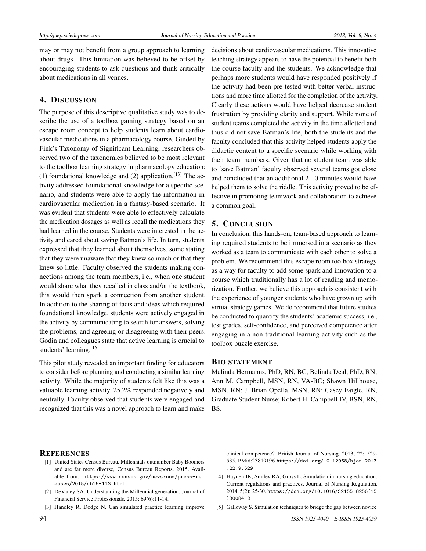may or may not benefit from a group approach to learning about drugs. This limitation was believed to be offset by encouraging students to ask questions and think critically about medications in all venues.

## 4. DISCUSSION

The purpose of this descriptive qualitative study was to describe the use of a toolbox gaming strategy based on an escape room concept to help students learn about cardiovascular medications in a pharmacology course. Guided by Fink's Taxonomy of Significant Learning, researchers observed two of the taxonomies believed to be most relevant to the toolbox learning strategy in pharmacology education: (1) foundational knowledge and (2) application.<sup>[\[13\]](#page-6-7)</sup> The activity addressed foundational knowledge for a specific scenario, and students were able to apply the information in cardiovascular medication in a fantasy-based scenario. It was evident that students were able to effectively calculate the medication dosages as well as recall the medications they had learned in the course. Students were interested in the activity and cared about saving Batman's life. In turn, students expressed that they learned about themselves, some stating that they were unaware that they knew so much or that they knew so little. Faculty observed the students making connections among the team members, i.e., when one student would share what they recalled in class and/or the textbook, this would then spark a connection from another student. In addition to the sharing of facts and ideas which required foundational knowledge, students were actively engaged in the activity by communicating to search for answers, solving the problems, and agreeing or disagreeing with their peers. Godin and colleagues state that active learning is crucial to students' learning.<sup>[\[16\]](#page-6-10)</sup>

This pilot study revealed an important finding for educators to consider before planning and conducting a similar learning activity. While the majority of students felt like this was a valuable learning activity, 25.2% responded negatively and neutrally. Faculty observed that students were engaged and recognized that this was a novel approach to learn and make decisions about cardiovascular medications. This innovative teaching strategy appears to have the potential to benefit both the course faculty and the students. We acknowledge that perhaps more students would have responded positively if the activity had been pre-tested with better verbal instructions and more time allotted for the completion of the activity. Clearly these actions would have helped decrease student frustration by providing clarity and support. While none of student teams completed the activity in the time allotted and thus did not save Batman's life, both the students and the faculty concluded that this activity helped students apply the didactic content to a specific scenario while working with their team members. Given that no student team was able to 'save Batman' faculty observed several teams got close and concluded that an additional 2-10 minutes would have helped them to solve the riddle. This activity proved to be effective in promoting teamwork and collaboration to achieve a common goal.

## 5. CONCLUSION

In conclusion, this hands-on, team-based approach to learning required students to be immersed in a scenario as they worked as a team to communicate with each other to solve a problem. We recommend this escape room toolbox strategy as a way for faculty to add some spark and innovation to a course which traditionally has a lot of reading and memorization. Further, we believe this approach is consistent with the experience of younger students who have grown up with virtual strategy games. We do recommend that future studies be conducted to quantify the students' academic success, i.e., test grades, self-confidence, and perceived competence after engaging in a non-traditional learning activity such as the toolbox puzzle exercise.

### BIO STATEMENT

Melinda Hermanns, PhD, RN, BC, Belinda Deal, PhD, RN; Ann M. Campbell, MSN, RN, VA-BC; Shawn Hillhouse, MSN, RN; J. Brian Opella, MSN, RN; Casey Faigle, RN, Graduate Student Nurse; Robert H. Campbell IV, BSN, RN, BS.

## **REFERENCES**

- <span id="page-5-0"></span>[1] United States Census Bureau. Millennials outnumber Baby Boomers and are far more diverse, Census Bureau Reports. 2015. Available from: [https://www.census.gov/newsroom/press-rel](https://www.census.gov/newsroom/press-releases/2015/cb15-113.html) [eases/2015/cb15-113.html](https://www.census.gov/newsroom/press-releases/2015/cb15-113.html)
- <span id="page-5-1"></span>[2] DeVaney SA. Understanding the Millennial generation. Journal of Financial Service Professionals. 2015; 69(6):11-14.
- <span id="page-5-2"></span>[3] Handley R, Dodge N. Can simulated practice learning improve

clinical competence? British Journal of Nursing. 2013; 22: 529- 535. PMid:23819196 [https://doi.org/10.12968/bjon.2013](https://doi.org/10.12968/bjon.2013.22.9.529) [.22.9.529](https://doi.org/10.12968/bjon.2013.22.9.529)

- <span id="page-5-3"></span>[4] Hayden JK, Smiley RA, Gross L. Simulation in nursing education: Current regulations and practices. Journal of Nursing Regulation. 2014; 5(2): 25-30. [https://doi.org/10.1016/S2155-8256\(15](https://doi.org/10.1016/S2155-8256(15)30084-3) [\)30084-3](https://doi.org/10.1016/S2155-8256(15)30084-3)
- <span id="page-5-4"></span>[5] Galloway S. Simulation techniques to bridge the gap between novice